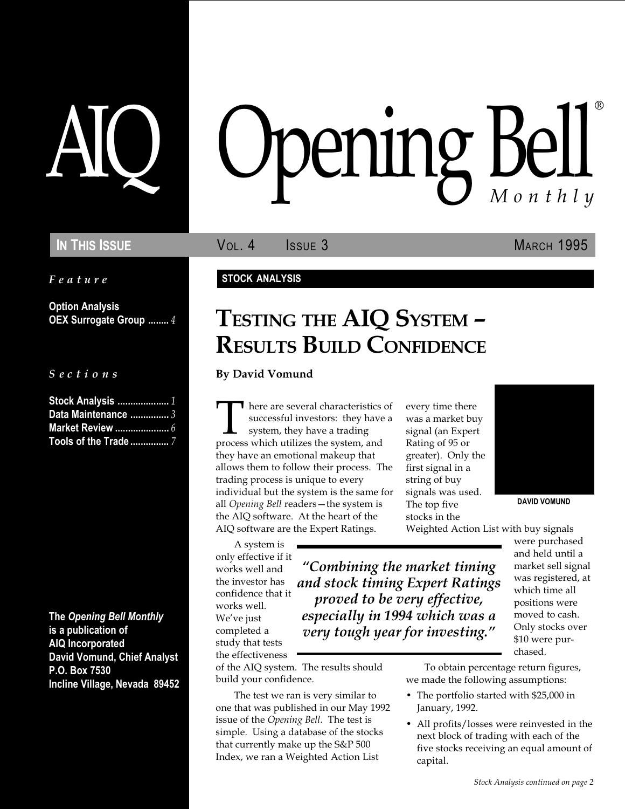Feature

Option Analysis OEX Surrogate Group ........ 4

S e c t i o n s

| Stock Analysis  1    |  |
|----------------------|--|
| Data Maintenance $3$ |  |
| Market Review  6     |  |
| Tools of the Trade 7 |  |

The Opening Bell Monthly is a publication of AIQ Incorporated David Vomund, Chief Analyst P.O. Box 7530 Incline Village, Nevada 89452

# pening Bel Monthly ®

IN THIS ISSUE **VOL. 4** ISSUE 3 MARCH 1995

### STOCK ANALYSIS

## TESTING THE AIQ SYSTEM -RESULTS BUILD CONFIDENCE

By David Vomund

There are several characteristics of successful investors: they have a system, they have a trading process which utilizes the system, and successful investors: they have a system, they have a trading they have an emotional makeup that allows them to follow their process. The trading process is unique to every individual but the system is the same for all Opening Bell readers-the system is the AIQ software. At the heart of the AIQ software are the Expert Ratings.

A system is only effective if it works well and the investor has confidence that it works well. We've just completed a study that tests the effectiveness

Combining the market timing and stock timing Expert Ratings proved to be very effective, especially in 1994 which was a very tough year for investing."

of the AIQ system. The results should build your confidence.

The test we ran is very similar to one that was published in our May 1992 issue of the Opening Bell. The test is simple. Using a database of the stocks that currently make up the S&P 500 Index, we ran a Weighted Action List

every time there was a market buy signal (an Expert Rating of 95 or greater). Only the first signal in a string of buy signals was used. The top five stocks in the



DAVID VOMUND

Weighted Action List with buy signals

were purchased and held until a market sell signal was registered, at which time all positions were moved to cash. Only stocks over \$10 were purchased.

To obtain percentage return figures, we made the following assumptions:

- The portfolio started with \$25,000 in January, 1992.
- All profits/losses were reinvested in the next block of trading with each of the five stocks receiving an equal amount of capital.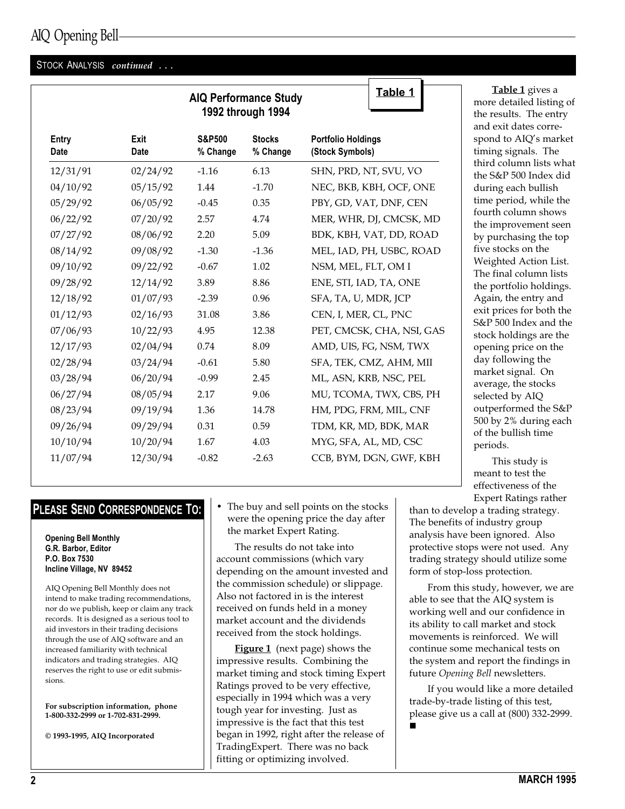### AIQ Opening Bell

### STOCK ANALYSIS continued ...

|                      |                     |                               | <b>AIQ Performance Study</b><br>1992 through 1994 | <u>Table 1</u>                               |
|----------------------|---------------------|-------------------------------|---------------------------------------------------|----------------------------------------------|
| Entry<br><b>Date</b> | Exit<br><b>Date</b> | <b>S&amp;P500</b><br>% Change | <b>Stocks</b><br>% Change                         | <b>Portfolio Holdings</b><br>(Stock Symbols) |
| 12/31/91             | 02/24/92            | $-1.16$                       | 6.13                                              | SHN, PRD, NT, SVU, VO                        |
| 04/10/92             | 05/15/92            | 1.44                          | $-1.70$                                           | NEC, BKB, KBH, OCF, ONE                      |
| 05/29/92             | 06/05/92            | $-0.45$                       | 0.35                                              | PBY, GD, VAT, DNF, CEN                       |
| 06/22/92             | 07/20/92            | 2.57                          | 4.74                                              | MER, WHR, DJ, CMCSK, MD                      |
| 07/27/92             | 08/06/92            | 2.20                          | 5.09                                              | BDK, KBH, VAT, DD, ROAD                      |
| 08/14/92             | 09/08/92            | $-1.30$                       | $-1.36$                                           | MEL, IAD, PH, USBC, ROAD                     |
| 09/10/92             | 09/22/92            | $-0.67$                       | 1.02                                              | NSM, MEL, FLT, OM I                          |
| 09/28/92             | 12/14/92            | 3.89                          | 8.86                                              | ENE, STI, IAD, TA, ONE                       |
| 12/18/92             | 01/07/93            | $-2.39$                       | 0.96                                              | SFA, TA, U, MDR, JCP                         |
| 01/12/93             | 02/16/93            | 31.08                         | 3.86                                              | CEN, I, MER, CL, PNC                         |
| 07/06/93             | 10/22/93            | 4.95                          | 12.38                                             | PET, CMCSK, CHA, NSI, GAS                    |
| 12/17/93             | 02/04/94            | 0.74                          | 8.09                                              | AMD, UIS, FG, NSM, TWX                       |
| 02/28/94             | 03/24/94            | $-0.61$                       | 5.80                                              | SFA, TEK, CMZ, AHM, MII                      |
| 03/28/94             | 06/20/94            | $-0.99$                       | 2.45                                              | ML, ASN, KRB, NSC, PEL                       |
| 06/27/94             | 08/05/94            | 2.17                          | 9.06                                              | MU, TCOMA, TWX, CBS, PH                      |
| 08/23/94             | 09/19/94            | 1.36                          | 14.78                                             | HM, PDG, FRM, MIL, CNF                       |
| 09/26/94             | 09/29/94            | 0.31                          | 0.59                                              | TDM, KR, MD, BDK, MAR                        |
| 10/10/94             | 10/20/94            | 1.67                          | 4.03                                              | MYG, SFA, AL, MD, CSC                        |
| 11/07/94             | 12/30/94            | $-0.82$                       | $-2.63$                                           | CCB, BYM, DGN, GWF, KBH                      |
|                      |                     |                               |                                                   |                                              |

### PLEASE SEND CORRESPONDENCE TO:

#### Opening Bell Monthly G.R. Barbor, Editor P.O. Box 7530 Incline Village, NV 89452

AIQ Opening Bell Monthly does not intend to make trading recommendations, nor do we publish, keep or claim any track records. It is designed as a serious tool to aid investors in their trading decisions through the use of AIQ software and an increased familiarity with technical indicators and trading strategies. AIQ reserves the right to use or edit submissions.

For subscription information, phone 1-800-332-2999 or 1-702-831-2999.

© 1993-1995, AIQ Incorporated

 The buy and sell points on the stocks were the opening price the day after the market Expert Rating.

The results do not take into account commissions (which vary depending on the amount invested and the commission schedule) or slippage. Also not factored in is the interest received on funds held in a money market account and the dividends received from the stock holdings.

**Figure 1** (next page) shows the impressive results. Combining the market timing and stock timing Expert Ratings proved to be very effective, especially in 1994 which was a very tough year for investing. Just as impressive is the fact that this test began in 1992, right after the release of TradingExpert. There was no back fitting or optimizing involved.

Table 1 gives a more detailed listing of the results. The entry and exit dates correspond to AIQ's market timing signals. The third column lists what the S&P 500 Index did during each bullish time period, while the fourth column shows the improvement seen by purchasing the top five stocks on the Weighted Action List. The final column lists the portfolio holdings. Again, the entry and exit prices for both the S&P 500 Index and the stock holdings are the opening price on the day following the market signal. On average, the stocks selected by AIQ outperformed the S&P 500 by 2% during each of the bullish time periods.

This study is meant to test the effectiveness of the Expert Ratings rather

than to develop a trading strategy. The benefits of industry group analysis have been ignored. Also protective stops were not used. Any trading strategy should utilize some form of stop-loss protection.

From this study, however, we are able to see that the AIQ system is working well and our confidence in its ability to call market and stock movements is reinforced. We will continue some mechanical tests on the system and report the findings in future Opening Bell newsletters.

If you would like a more detailed trade-by-trade listing of this test, please give us a call at (800) 332-2999. n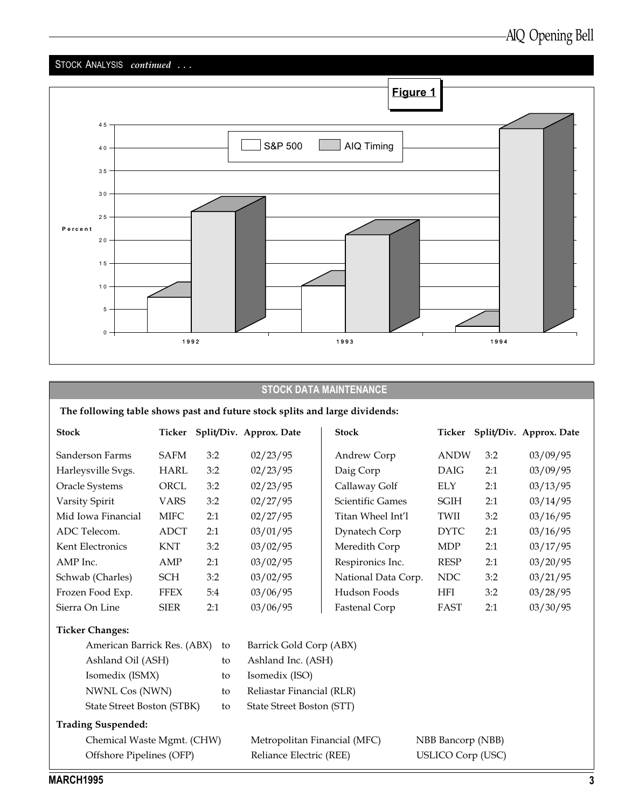

### STOCK DATA MAINTENANCE

### The following table shows past and future stock splits and large dividends:

| <b>Stock</b>                | Ticker      |     | Split/Div. Approx. Date | <b>Stock</b>         | Ticker      |     | Split/Div. Approx. Date |
|-----------------------------|-------------|-----|-------------------------|----------------------|-------------|-----|-------------------------|
| Sanderson Farms             | <b>SAFM</b> | 3:2 | 02/23/95                | Andrew Corp          | <b>ANDW</b> | 3:2 | 03/09/95                |
| Harleysville Svgs.          | HARL        | 3:2 | 02/23/95                | Daig Corp            | DAIG        | 2:1 | 03/09/95                |
| Oracle Systems              | <b>ORCL</b> | 3:2 | 02/23/95                | Callaway Golf        | <b>ELY</b>  | 2:1 | 03/13/95                |
| Varsity Spirit              | <b>VARS</b> | 3:2 | 02/27/95                | Scientific Games     | SGIH        | 2:1 | 03/14/95                |
| Mid Iowa Financial          | <b>MIFC</b> | 2:1 | 02/27/95                | Titan Wheel Int'l    | TWII        | 3:2 | 03/16/95                |
| ADC Telecom.                | ADCT        | 2:1 | 03/01/95                | Dynatech Corp        | <b>DYTC</b> | 2:1 | 03/16/95                |
| Kent Electronics            | <b>KNT</b>  | 3:2 | 03/02/95                | Meredith Corp        | <b>MDP</b>  | 2:1 | 03/17/95                |
| AMP Inc.                    | AMP         | 2:1 | 03/02/95                | Respironics Inc.     | <b>RESP</b> | 2:1 | 03/20/95                |
| Schwab (Charles)            | SCH         | 3:2 | 03/02/95                | National Data Corp.  | NDC         | 3:2 | 03/21/95                |
| Frozen Food Exp.            | <b>FFEX</b> | 5:4 | 03/06/95                | Hudson Foods         | <b>HFI</b>  | 3:2 | 03/28/95                |
| Sierra On Line              | <b>SIER</b> | 2:1 | 03/06/95                | <b>Fastenal Corp</b> | FAST        | 2:1 | 03/30/95                |
| <b>Ticker Changes:</b>      |             |     |                         |                      |             |     |                         |
| American Barrick Res. (ABX) |             | to  | Barrick Gold Corp (ABX) |                      |             |     |                         |

| American Darrick Res. (ADA) to |    | DAITICK GOIG COLD (ADA)      |                          |
|--------------------------------|----|------------------------------|--------------------------|
| Ashland Oil (ASH)              | to | Ashland Inc. (ASH)           |                          |
| Isomedix (ISMX)                | to | Isomedix (ISO)               |                          |
| NWNL Cos (NWN)                 | to | Reliastar Financial (RLR)    |                          |
| State Street Boston (STBK)     | to | State Street Boston (STT)    |                          |
| <b>Trading Suspended:</b>      |    |                              |                          |
| Chemical Waste Mgmt. (CHW)     |    | Metropolitan Financial (MFC) | NBB Bancorp (NBB)        |
| Offshore Pipelines (OFP)       |    | Reliance Electric (REE)      | <b>USLICO Corp (USC)</b> |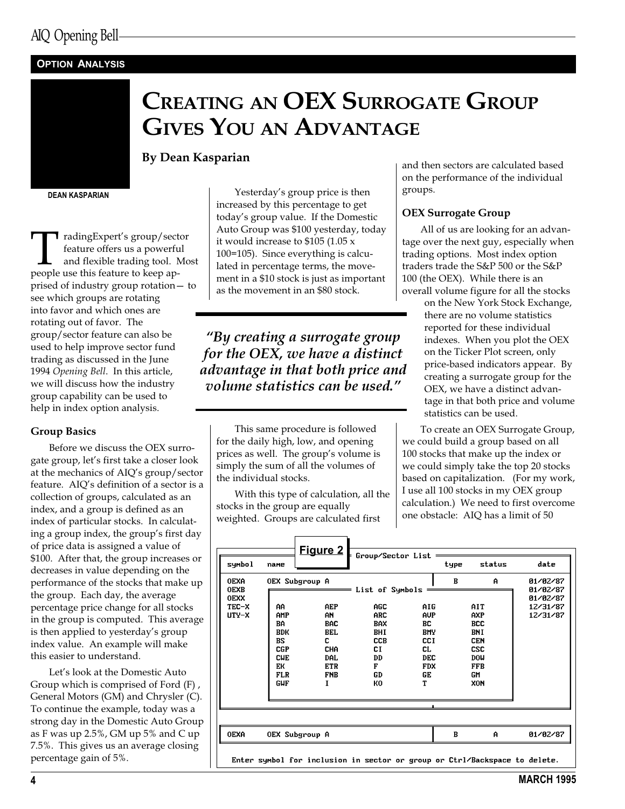### **OPTION ANALYSIS**

## CREATING AN OEX SURROGATE GROUP GIVES YOU AN ADVANTAGE

By Dean Kasparian

DEAN KASPARIAN

 $\begin{tabular}{p{2cm} \hline \textbf{r} \textbf{adingExpert's group/sector} \\ \textbf{feature offers us a powerful} \\ \textbf{and flexible trading tool.} \\ \textbf{people use this feature to keep ap-} \end{tabular}$ feature offers us a powerful and flexible trading tool. Most prised of industry group rotation - to see which groups are rotating into favor and which ones are rotating out of favor. The group/sector feature can also be used to help improve sector fund trading as discussed in the June 1994 Opening Bell. In this article, we will discuss how the industry group capability can be used to help in index option analysis.

#### Group Basics

Before we discuss the OEX surrogate group, let's first take a closer look at the mechanics of AIQ's group/sector feature. AIQ's definition of a sector is a collection of groups, calculated as an index, and a group is defined as an index of particular stocks. In calculating a group index, the group's first day of price data is assigned a value of \$100. After that, the group increases or decreases in value depending on the performance of the stocks that make up the group. Each day, the average percentage price change for all stocks in the group is computed. This average is then applied to yesterday's group index value. An example will make this easier to understand.

Let's look at the Domestic Auto Group which is comprised of Ford (F) , General Motors (GM) and Chrysler (C). To continue the example, today was a strong day in the Domestic Auto Group as F was up 2.5%, GM up 5% and C up 7.5%. This gives us an average closing percentage gain of 5%.

Yesterday's group price is then increased by this percentage to get today's group value. If the Domestic Auto Group was \$100 yesterday, today it would increase to \$105 (1.05 x 100=105). Since everything is calculated in percentage terms, the movement in a \$10 stock is just as important as the movement in an \$80 stock.

By creating a surrogate group for the OEX, we have a distinct advantage in that both price and volume statistics can be used.

This same procedure is followed for the daily high, low, and opening prices as well. The group's volume is simply the sum of all the volumes of the individual stocks.

With this type of calculation, all the stocks in the group are equally weighted. Groups are calculated first

and then sectors are calculated based on the performance of the individual groups.

#### OEX Surrogate Group

All of us are looking for an advantage over the next guy, especially when trading options. Most index option traders trade the S&P 500 or the S&P 100 (the OEX). While there is an overall volume figure for all the stocks

on the New York Stock Exchange, there are no volume statistics reported for these individual indexes. When you plot the OEX on the Ticker Plot screen, only price-based indicators appear. By creating a surrogate group for the OEX, we have a distinct advantage in that both price and volume statistics can be used.

To create an OEX Surrogate Group, we could build a group based on all 100 stocks that make up the index or we could simply take the top 20 stocks based on capitalization. (For my work, I use all 100 stocks in my OEX group calculation.) We need to first overcome one obstacle: AIQ has a limit of 50

| symbol                                                        | name                                                                                                      |                                                                                                                           |                                                                                                                 |                                                                                                    | type | status                                                                                                           | date                                                     |
|---------------------------------------------------------------|-----------------------------------------------------------------------------------------------------------|---------------------------------------------------------------------------------------------------------------------------|-----------------------------------------------------------------------------------------------------------------|----------------------------------------------------------------------------------------------------|------|------------------------------------------------------------------------------------------------------------------|----------------------------------------------------------|
| <b>OEXA</b><br><b>OEXB</b><br><b>OEXX</b><br>TEC-X<br>$UTY-X$ | AA.<br>AMP<br><b>BA</b><br><b>BDK</b><br>BS<br><b>CGP</b><br><b>CUE</b><br>EК<br><b>FLR</b><br><b>GUF</b> | OEX Subgroup A<br>AEP<br>AN<br><b>BAC</b><br><b>BEL</b><br>c<br><b>CHA</b><br><b>DAL</b><br><b>ETR</b><br><b>FNB</b><br>I | List of Symbols $=$<br><b>AGC</b><br><b>ARC</b><br><b>BAX</b><br>BHI<br><b>CCB</b><br>СI<br>DD<br>F<br>GD<br>КO | AIG.<br><b>AUP</b><br>BC<br><b>BMY</b><br><b>CCI</b><br>CL.<br><b>DEC</b><br><b>FDX</b><br>GE<br>Т | B    | A<br>AIT<br><b>AXP</b><br><b>BCC</b><br>BNI<br><b>CEN</b><br><b>CSC</b><br><b>DOU</b><br><b>FFB</b><br>GM<br>XON | 01/02/87<br>01/02/87<br>01/02/87<br>12/31/87<br>12/31/87 |
| <b>OEXA</b>                                                   |                                                                                                           | OEX Subgroup A                                                                                                            |                                                                                                                 |                                                                                                    | B    | $\mathbf{A}$                                                                                                     | 01/02/87                                                 |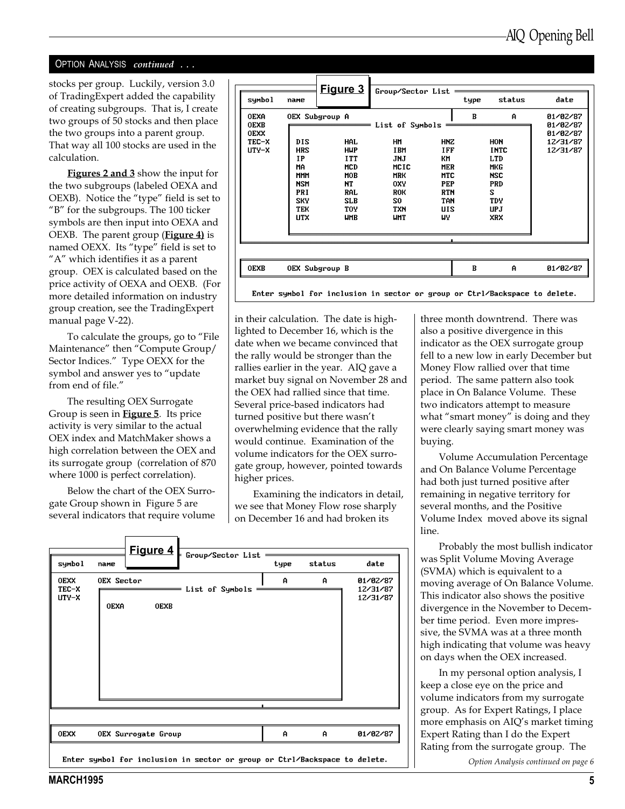### OPTION ANALYSIS continued ...

stocks per group. Luckily, version 3.0 of TradingExpert added the capability of creating subgroups. That is, I create two groups of 50 stocks and then place the two groups into a parent group. That way all 100 stocks are used in the calculation.

Figures 2 and 3 show the input for the two subgroups (labeled OEXA and OEXB). Notice the "type" field is set to "B" for the subgroups. The  $100$  ticker symbols are then input into OEXA and OEXB. The parent group (**Figure 4**) is named OEXX. Its "type" field is set to "A" which identifies it as a parent group. OEX is calculated based on the price activity of OEXA and OEXB. (For more detailed information on industry group creation, see the TradingExpert manual page V-22).

To calculate the groups, go to "File Maintenance" then "Compute Group/ Sector Indices." Type OEXX for the symbol and answer yes to "update" from end of file.

The resulting OEX Surrogate Group is seen in Figure 5. Its price activity is very similar to the actual OEX index and MatchMaker shows a high correlation between the OEX and its surrogate group (correlation of 870 where 1000 is perfect correlation).

Below the chart of the OEX Surrogate Group shown in Figure 5 are several indicators that require volume

| symbol                                                        | name                                                                                                       | Figure 3                                                                                                                                           | Group/Sector List                                                                                                                     |                                                                                                                   | type | status                                                                                                                          | date                                                     |
|---------------------------------------------------------------|------------------------------------------------------------------------------------------------------------|----------------------------------------------------------------------------------------------------------------------------------------------------|---------------------------------------------------------------------------------------------------------------------------------------|-------------------------------------------------------------------------------------------------------------------|------|---------------------------------------------------------------------------------------------------------------------------------|----------------------------------------------------------|
| <b>OEXA</b><br><b>OEXB</b><br><b>OEXX</b><br>TEC-X<br>$UTY-X$ | DIS<br><b>HRS</b><br>IP<br>MA<br><b>MMM</b><br><b>NSM</b><br>PRI<br><b>SKY</b><br><b>TEK</b><br><b>UTX</b> | OEX Subgroup A<br><b>HAL</b><br><b>HUP</b><br><b>ITT</b><br><b>MCD</b><br><b>MOB</b><br><b>NT</b><br>RAL<br><b>SLB</b><br><b>TOY</b><br><b>UMB</b> | List of Symbols<br><b>HM</b><br><b>IBM</b><br>JNJ<br>MCIC<br><b>MRK</b><br><b>OXY</b><br><b>ROK</b><br>S0<br><b>TXN</b><br><b>UMT</b> | <b>HNZ</b><br><b>IFF</b><br>КM<br><b>MER</b><br><b>MTC</b><br>PEP<br><b>RTN</b><br><b>TAN</b><br><b>UIS</b><br>WY | B    | A<br><b>HON</b><br><b>INTC</b><br><b>LTD</b><br><b>MKG</b><br><b>NSC</b><br><b>PRD</b><br>s<br><b>TDY</b><br>UP J<br><b>XRX</b> | 01/02/87<br>01/02/87<br>01/02/87<br>12/31/87<br>12/31/87 |
| <b>OEXB</b>                                                   |                                                                                                            | OEX Subgroup B                                                                                                                                     |                                                                                                                                       |                                                                                                                   | B    | A                                                                                                                               | 01/02/87                                                 |

Enter symbol for inclusion in sector or group or Ctrl/Backspace to delete.

in their calculation. The date is highlighted to December 16, which is the date when we became convinced that the rally would be stronger than the rallies earlier in the year. AIQ gave a market buy signal on November 28 and the OEX had rallied since that time. Several price-based indicators had turned positive but there wasn't overwhelming evidence that the rally would continue. Examination of the volume indicators for the OEX surrogate group, however, pointed towards higher prices.

Examining the indicators in detail, we see that Money Flow rose sharply on December 16 and had broken its

|                      | Figure 4                                                                   | Group/Sector List    |      |        |                      |
|----------------------|----------------------------------------------------------------------------|----------------------|------|--------|----------------------|
| symbol               | name                                                                       |                      | type | status | date                 |
| <b>OEXX</b><br>TEC-X | OEX Sector                                                                 | List of Symbols<br>= | A    | A      | 01/02/87<br>12/31/87 |
| $UTY-X$              | <b>OEXA</b><br><b>OEXB</b>                                                 |                      |      |        | 12/31/87             |
|                      |                                                                            |                      |      |        |                      |
| <b>OEXX</b>          | OEX Surrogate Group                                                        |                      | A    | A      | 01/02/87             |
|                      | Enter symbol for inclusion in sector or group or Ctrl/Backspace to delete. |                      |      |        |                      |

three month downtrend. There was also a positive divergence in this indicator as the OEX surrogate group fell to a new low in early December but Money Flow rallied over that time period. The same pattern also took place in On Balance Volume. These two indicators attempt to measure what "smart money" is doing and they were clearly saying smart money was buying.

Volume Accumulation Percentage and On Balance Volume Percentage had both just turned positive after remaining in negative territory for several months, and the Positive Volume Index moved above its signal line.

Probably the most bullish indicator was Split Volume Moving Average (SVMA) which is equivalent to a moving average of On Balance Volume. This indicator also shows the positive divergence in the November to December time period. Even more impressive, the SVMA was at a three month high indicating that volume was heavy on days when the OEX increased.

In my personal option analysis, I keep a close eye on the price and volume indicators from my surrogate group. As for Expert Ratings, I place more emphasis on AIQ's market timing Expert Rating than I do the Expert Rating from the surrogate group. The

Option Analysis continued on page 6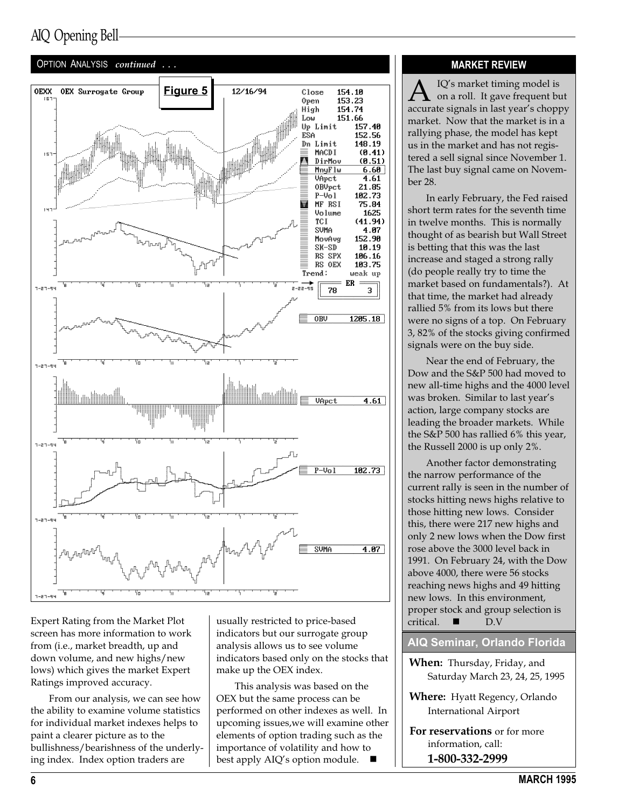### AIQ Opening Bell



Expert Rating from the Market Plot screen has more information to work from (i.e., market breadth, up and down volume, and new highs/new lows) which gives the market Expert Ratings improved accuracy.

From our analysis, we can see how the ability to examine volume statistics for individual market indexes helps to paint a clearer picture as to the bullishness/bearishness of the underlying index. Index option traders are

usually restricted to price-based indicators but our surrogate group analysis allows us to see volume indicators based only on the stocks that make up the OEX index.

This analysis was based on the OEX but the same process can be performed on other indexes as well. In upcoming issues,we will examine other elements of option trading such as the importance of volatility and how to best apply AIQ's option module.

### MARKET REVIEW

on a roll. It gave frequent but accurate signals in last year's choppy market. Now that the market is in a rallying phase, the model has kept us in the market and has not registered a sell signal since November 1. The last buy signal came on November 28.

In early February, the Fed raised short term rates for the seventh time in twelve months. This is normally thought of as bearish but Wall Street is betting that this was the last increase and staged a strong rally (do people really try to time the market based on fundamentals?). At that time, the market had already rallied 5% from its lows but there were no signs of a top. On February 3, 82% of the stocks giving confirmed signals were on the buy side.

Near the end of February, the Dow and the S&P 500 had moved to new all-time highs and the 4000 level was broken. Similar to last year's action, large company stocks are leading the broader markets. While the S&P 500 has rallied 6% this year, the Russell 2000 is up only 2%.

Another factor demonstrating the narrow performance of the current rally is seen in the number of stocks hitting news highs relative to those hitting new lows. Consider this, there were 217 new highs and only 2 new lows when the Dow first rose above the 3000 level back in 1991. On February 24, with the Dow above 4000, there were 56 stocks reaching news highs and 49 hitting new lows. In this environment, proper stock and group selection is  $critical.$  D.V

### AIQ Seminar, Orlando Florida

- When: Thursday, Friday, and Saturday March 23, 24, 25, 1995
- Where: Hyatt Regency, Orlando International Airport

For reservations or for more information, call: 1-800-332-2999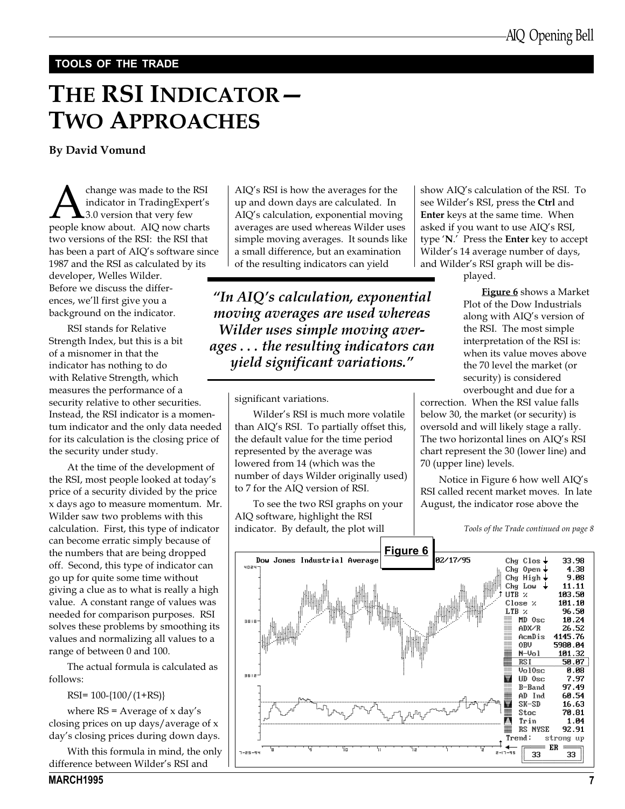### TOOLS OF THE TRADE

## THE RSI INDICATOR -TWO APPROACHES

By David Vomund

**A**change was made to the RSI indicator in TradingExpert's 3.0 version that very few people know about. AIQ now charts indicator in TradingExpert's 3.0 version that very few two versions of the RSI: the RSI that has been a part of AIQ's software since 1987 and the RSI as calculated by its developer, Welles Wilder. Before we discuss the differences, we'll first give you a background on the indicator.

RSI stands for Relative Strength Index, but this is a bit of a misnomer in that the indicator has nothing to do with Relative Strength, which measures the performance of a security relative to other securities. Instead, the RSI indicator is a momentum indicator and the only data needed for its calculation is the closing price of the security under study.

At the time of the development of the RSI, most people looked at today's price of a security divided by the price x days ago to measure momentum. Mr. Wilder saw two problems with this calculation. First, this type of indicator can become erratic simply because of the numbers that are being dropped off. Second, this type of indicator can go up for quite some time without giving a clue as to what is really a high value. A constant range of values was needed for comparison purposes. RSI solves these problems by smoothing its values and normalizing all values to a range of between 0 and 100.

The actual formula is calculated as follows:

RSI= 100-{100/(1+RS)}

where  $RS = Average of x day's$ closing prices on up days/average of x day's closing prices during down days.

With this formula in mind, the only difference between Wilder's RSI and

MARCH1995 7

AIQ's RSI is how the averages for the up and down days are calculated. In AIQ's calculation, exponential moving averages are used whereas Wilder uses simple moving averages. It sounds like a small difference, but an examination of the resulting indicators can yield

"In AIQ's calculation, exponential moving averages are used whereas Wilder uses simple moving averages . . . the resulting indicators can yield significant variations.

significant variations.

Wilder's RSI is much more volatile than AIQ's RSI. To partially offset this, the default value for the time period represented by the average was lowered from 14 (which was the number of days Wilder originally used) to 7 for the AIQ version of RSI.

To see the two RSI graphs on your AIQ software, highlight the RSI indicator. By default, the plot will

show AIQ's calculation of the RSI. To see Wilder's RSI, press the Ctrl and Enter keys at the same time. When asked if you want to use AIQ's RSI, type  $'N'$ . Press the **Enter** key to accept Wilder's 14 average number of days, and Wilder's RSI graph will be dis-

played.

Figure 6 shows a Market Plot of the Dow Industrials along with AIO's version of the RSI. The most simple interpretation of the RSI is: when its value moves above the 70 level the market (or security) is considered overbought and due for a

correction. When the RSI value falls below 30, the market (or security) is oversold and will likely stage a rally. The two horizontal lines on AIQ's RSI chart represent the 30 (lower line) and 70 (upper line) levels.

Notice in Figure 6 how well AIQ's RSI called recent market moves. In late August, the indicator rose above the

Tools of the Trade continued on page 8